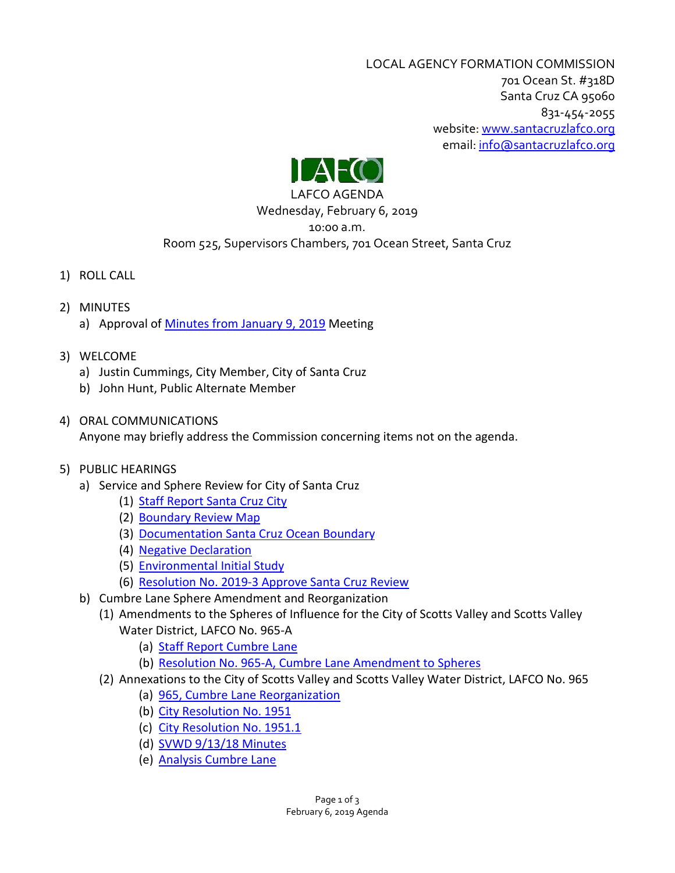LOCAL AGENCY FORMATION COMMISSION 701 Ocean St. #318D Santa Cruz CA 95060 831-454-2055 website: [www.santacruzlafco.org](http://www.santacruzlafco.org/) email[: info@santacruzlafco.org](mailto:info@santacruzlafco.org)



# LAFCO AGENDA

### Wednesday, February 6, 2019 10:00 a.m. Room 525, Supervisors Chambers, 701 Ocean Street, Santa Cruz

- 1) ROLL CALL
- 2) MINUTES a) Approval of [Minutes from January 9, 2019](https://www.santacruzlafco.org/wp-content/uploads/2019/01/2a-1-9-19-Minutes.pdf) Meeting
- 3) WELCOME
	- a) Justin Cummings, City Member, City of Santa Cruz
	- b) John Hunt, Public Alternate Member
- 4) ORAL COMMUNICATIONS

Anyone may briefly address the Commission concerning items not on the agenda.

# 5) PUBLIC HEARINGS

- a) Service and Sphere Review for City of Santa Cruz
	- (1) Staff Report [Santa Cruz City](https://www.santacruzlafco.org/wp-content/uploads/2019/01/5a1-Santa-Cruz-Staff-Report.pdf)
	- (2) [Boundary Review Map](https://www.santacruzlafco.org/wp-content/uploads/2019/01/5a2-Santa-Cruz-Boundary-Review-MAP.pdf)
	- (3) [Documentation Santa Cruz Ocean Boundary](https://www.santacruzlafco.org/wp-content/uploads/2019/01/5a3-Documentation-Santa-Cruz-Ocean-Boundary.pdf)
	- (4) [Negative Declaration](https://www.santacruzlafco.org/wp-content/uploads/2019/01/5a4-Negative-Declaration-2019-3.pdf)
	- (5) [Environmental Initial Study](https://www.santacruzlafco.org/wp-content/uploads/2019/01/5a5-Environmental-Initial-Study-2019-3.pdf)
	- (6) Resolution No. [2019-3 Approve Santa Cruz Review](https://www.santacruzlafco.org/wp-content/uploads/2019/01/5a6-Approve-Santa-Cruz-Review-2019-3.pdf)
- b) Cumbre Lane Sphere Amendment and Reorganization
	- (1) Amendments to the Spheres of Influence for the City of Scotts Valley and Scotts Valley Water District, LAFCO No. 965-A
		- (a) Staff Report [Cumbre Lane](https://www.santacruzlafco.org/wp-content/uploads/2019/01/5b1a-965-Staff-Report-Cumbre-Lane.pdf)
		- (b) Resolution No. 965-A, [Cumbre Lane Amendment to Spheres](https://www.santacruzlafco.org/wp-content/uploads/2019/01/5b1b-965-A-Cumbre-Lane-Amendment-to-Spheres.pdf)
	- (2) Annexations to the City of Scotts Valley and Scotts Valley Water District, LAFCO No. 965
		- (a) [965, Cumbre Lane Reorganization](https://www.santacruzlafco.org/wp-content/uploads/2019/01/5b2a-965.pdf)
		- (b) [City Resolution No. 1951](https://www.santacruzlafco.org/wp-content/uploads/2019/01/5b2b-1951.pdf)
		- (c) [City Resolution No. 1951.1](https://www.santacruzlafco.org/wp-content/uploads/2019/01/5b2c-1951.1.pdf)
		- (d) [SVWD 9/13/18 Minutes](https://www.santacruzlafco.org/wp-content/uploads/2019/01/5b2d-SVWD-9-13-18-Minutes.pdf)
		- (e) [Analysis Cumbre Lane](https://www.santacruzlafco.org/wp-content/uploads/2019/01/5b2e-Analysis-Cumbre-Lane.pdf)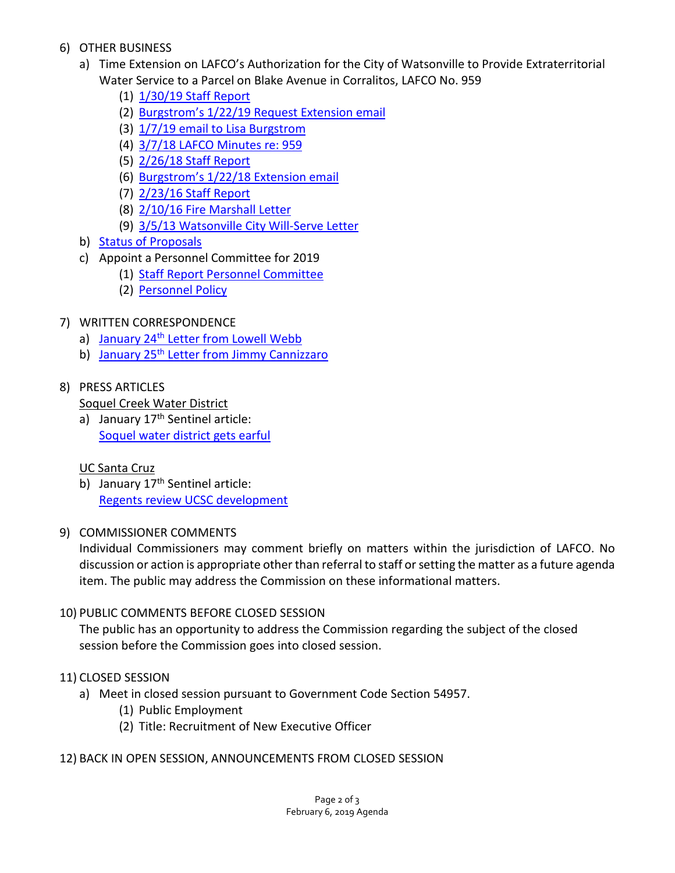- 6) OTHER BUSINESS
	- a) Time Extension on LAFCO's Authorization for the City of Watsonville to Provide Extraterritorial Water Service to a Parcel on Blake Avenue in Corralitos, LAFCO No. 959
		- (1) [1/30/19 Staff Report](https://www.santacruzlafco.org/wp-content/uploads/2019/01/6a1-1-30-19-Staff-Report-959.pdf)
		- (2) [Burgstrom's 1/22/19 Request Extension email](https://www.santacruzlafco.org/wp-content/uploads/2019/01/6a2-Burgstrom-1-22-19-Request-Extension-email.pdf)
		- (3) 1/7/19 email [to Lisa Burgstrom](https://www.santacruzlafco.org/wp-content/uploads/2019/01/6a3-1-7-19-Burgstrom-email.pdf)
		- (4) [3/7/18 LAFCO Minutes re: 959](https://www.santacruzlafco.org/wp-content/uploads/2019/01/6a4-3-17-18-LAFCO-Minutes-959.pdf)
		- (5) [2/26/18 Staff Report](https://www.santacruzlafco.org/wp-content/uploads/2019/01/6a5-2-26-18-LAFCO-Staff-Report-959.pdf)
		- (6) Burgstrom's [1/22/18 Extension email](https://www.santacruzlafco.org/wp-content/uploads/2019/01/6a6-1-22-18-Burgstrom-Extension-Request.pdf)
		- (7) [2/23/16 Staff Report](https://www.santacruzlafco.org/wp-content/uploads/2019/01/6a7-2-23-16-Staff-Report-959.pdf)
		- (8) [2/10/16 Fire Marshall Letter](https://www.santacruzlafco.org/wp-content/uploads/2019/01/6a8-2-10-16-Fire-Marshall-Letter.pdf)
		- (9) [3/5/13 Watsonville City Will-Serve Letter](https://www.santacruzlafco.org/wp-content/uploads/2019/01/6a9-3-5-13-Watsonville-City-Will-Serve-Letter.pdf)
	- b) [Status of Proposals](https://www.santacruzlafco.org/wp-content/uploads/2019/01/6b-Status-of-Proposals-1-29-19.pdf)
	- c) Appoint a Personnel Committee for 2019
		- (1) [Staff Report Personnel Committee](https://www.santacruzlafco.org/wp-content/uploads/2019/01/6c1-Staff-Report-Personnel-Committee.pdf)
		- (2) [Personnel Policy](https://www.santacruzlafco.org/wp-content/uploads/2019/01/6c2-Personnel-Policy.pdf)
- 7) WRITTEN CORRESPONDENCE
	- a) January 24<sup>th</sup> [Letter from Lowell Webb](https://www.santacruzlafco.org/wp-content/uploads/2019/01/7a-Webb-1-24-19-Correspondence.pdf)
	- b) January 25<sup>th</sup> [Letter from Jimmy Cannizzaro](https://www.santacruzlafco.org/wp-content/uploads/2019/01/7b-Cannizzaro-1-25-19-Correspondence.pdf)

# 8) PRESS ARTICLES

# Soquel Creek Water District

a) January 17<sup>th</sup> Sentinel article: [Soquel water district gets earful](https://www.santacruzlafco.org/wp-content/uploads/2019/01/8a-SCWD-1-17-19-Sentinel-Article.pdf)

# UC Santa Cruz

- b) January 17<sup>th</sup> Sentinel article: [Regents review UCSC development](https://www.santacruzlafco.org/wp-content/uploads/2019/01/8b-UCSC-1-17-19-Sentinel-Article.pdf)
- 9) COMMISSIONER COMMENTS

Individual Commissioners may comment briefly on matters within the jurisdiction of LAFCO. No discussion or action is appropriate other than referral to staff or setting the matter as a future agenda item. The public may address the Commission on these informational matters.

# 10) PUBLIC COMMENTS BEFORE CLOSED SESSION

The public has an opportunity to address the Commission regarding the subject of the closed session before the Commission goes into closed session.

# 11) CLOSED SESSION

- a) Meet in closed session pursuant to Government Code Section 54957.
	- (1) Public Employment
	- (2) Title: Recruitment of New Executive Officer
- 12) BACK IN OPEN SESSION, ANNOUNCEMENTS FROM CLOSED SESSION